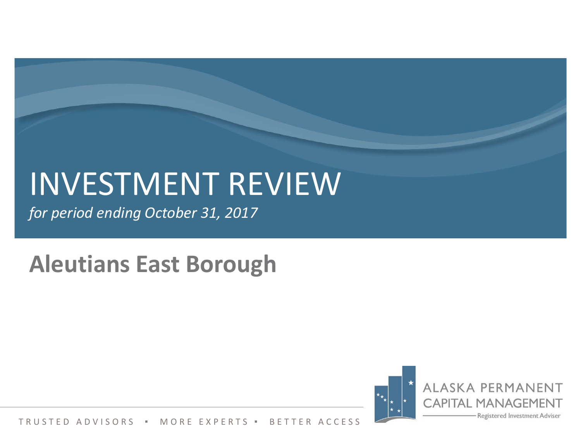# INVESTMENT REVIEW

*for period ending October 31, 2017*

# **Aleutians East Borough**

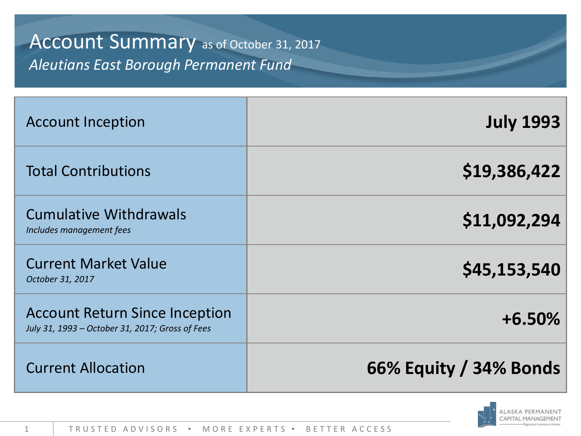## Account Summary as of October 31, 2017 *Aleutians East Borough Permanent Fund*

| <b>Account Inception</b>                                                                 | <b>July 1993</b>       |
|------------------------------------------------------------------------------------------|------------------------|
| <b>Total Contributions</b>                                                               | \$19,386,422           |
| <b>Cumulative Withdrawals</b><br>Includes management fees                                | \$11,092,294           |
| <b>Current Market Value</b><br>October 31, 2017                                          | \$45,153,540           |
| <b>Account Return Since Inception</b><br>July 31, 1993 - October 31, 2017; Gross of Fees | $+6.50%$               |
| <b>Current Allocation</b>                                                                | 66% Equity / 34% Bonds |

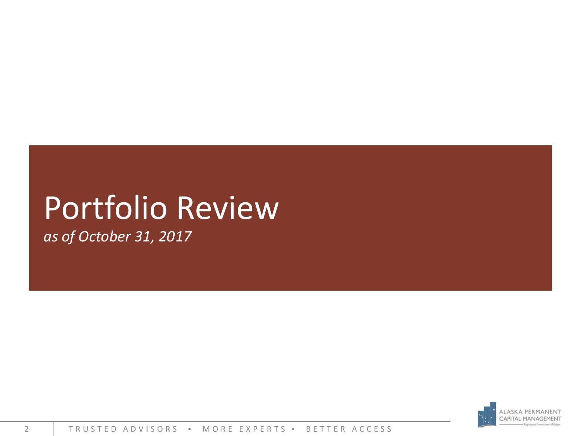# Portfolio Review

*as of October 31, 2017*

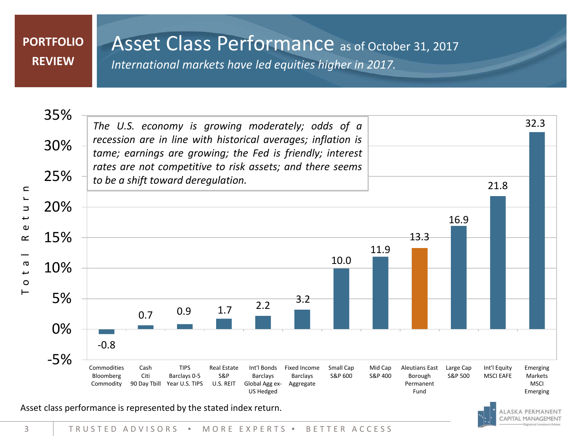#### **PORTFOLIO REVIEW**

### Asset Class Performance as of October 31, 2017

*International markets have led equities higher in 2017.*



Asset class performance is represented by the stated index return.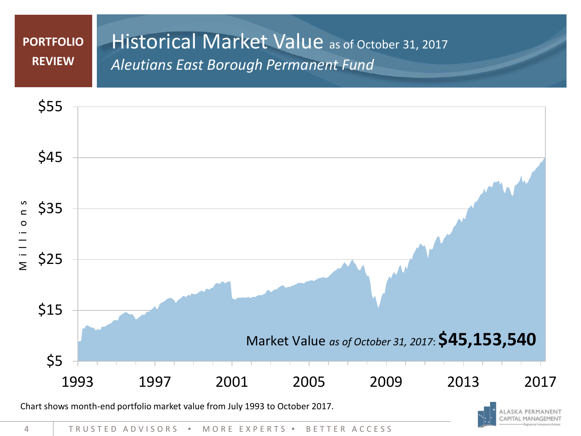#### Historical Market Value as of October 31, 2017 *Aleutians East Borough Permanent Fund* **PORTFOLIO REVIEW**





4 TRUSTED ADVISORS ▪ MORE EXPERTS ▪ BETTER ACCESS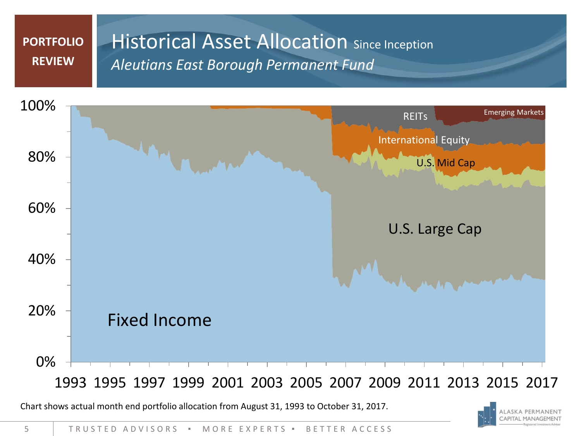#### **Historical Asset Allocation Since Inception** *Aleutians East Borough Permanent Fund* **PORTFOLIO REVIEW**



Chart shows actual month end portfolio allocation from August 31, 1993 to October 31, 2017.

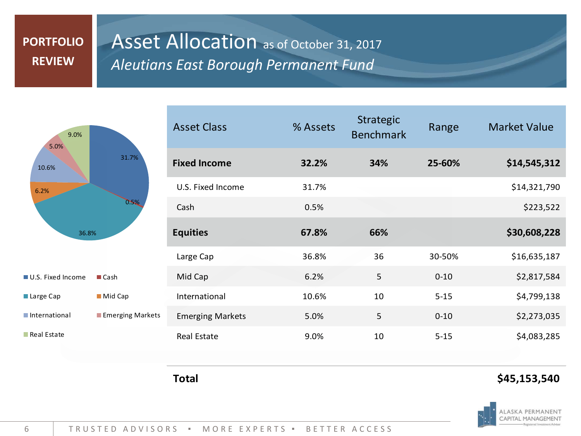### **PORTFOLIO REVIEW**

### Asset Allocation as of October 31, 2017 *Aleutians East Borough Permanent Fund*



| U.S. Fixed Income        | $\blacksquare$ Cash     |
|--------------------------|-------------------------|
| $\blacksquare$ Large Cap | $\blacksquare$ Mid Cap  |
| International            | $\blacksquare$ Emerging |
| <b>Real Estate</b>       |                         |

| <b>Asset Class</b>      | % Assets | <b>Strategic</b><br><b>Benchmark</b> | Range    | <b>Market Value</b> |
|-------------------------|----------|--------------------------------------|----------|---------------------|
| <b>Fixed Income</b>     | 32.2%    | 34%                                  | 25-60%   | \$14,545,312        |
| U.S. Fixed Income       | 31.7%    |                                      |          | \$14,321,790        |
| Cash                    | 0.5%     |                                      |          | \$223,522           |
| <b>Equities</b>         | 67.8%    | 66%                                  |          | \$30,608,228        |
| Large Cap               | 36.8%    | 36                                   | 30-50%   | \$16,635,187        |
| Mid Cap                 | 6.2%     | 5                                    | $0 - 10$ | \$2,817,584         |
| International           | 10.6%    | 10                                   | $5 - 15$ | \$4,799,138         |
| <b>Emerging Markets</b> | 5.0%     | 5                                    | $0 - 10$ | \$2,273,035         |
| <b>Real Estate</b>      | 9.0%     | 10                                   | $5 - 15$ | \$4,083,285         |

**Markets** 

#### **Total \$45,153,540**

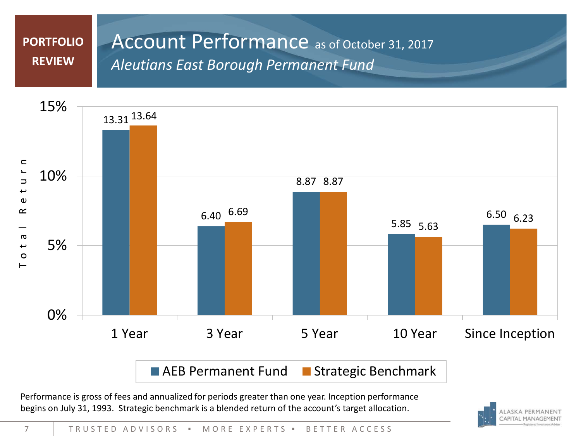#### Account Performance as of October 31, 2017 *Aleutians East Borough Permanent Fund* **PORTFOLIO REVIEW**



Performance is gross of fees and annualized for periods greater than one year. Inception performance begins on July 31, 1993. Strategic benchmark is a blended return of the account's target allocation.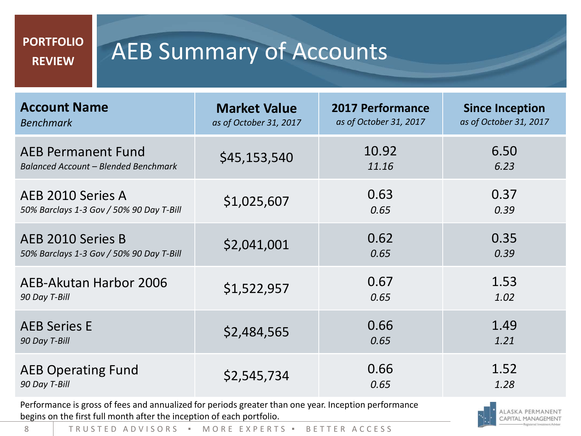#### **PORTFOLIO REVIEW**

# AEB Summary of Accounts

| <b>Account Name</b>                         | <b>Market Value</b>    | <b>2017 Performance</b> | <b>Since Inception</b> |
|---------------------------------------------|------------------------|-------------------------|------------------------|
| <b>Benchmark</b>                            | as of October 31, 2017 | as of October 31, 2017  | as of October 31, 2017 |
| <b>AEB Permanent Fund</b>                   | \$45,153,540           | 10.92                   | 6.50                   |
| <b>Balanced Account - Blended Benchmark</b> |                        | 11.16                   | 6.23                   |
| AEB 2010 Series A                           | \$1,025,607            | 0.63                    | 0.37                   |
| 50% Barclays 1-3 Gov / 50% 90 Day T-Bill    |                        | 0.65                    | 0.39                   |
| AEB 2010 Series B                           | \$2,041,001            | 0.62                    | 0.35                   |
| 50% Barclays 1-3 Gov / 50% 90 Day T-Bill    |                        | 0.65                    | 0.39                   |
| AEB-Akutan Harbor 2006                      | \$1,522,957            | 0.67                    | 1.53                   |
| 90 Day T-Bill                               |                        | 0.65                    | 1.02                   |
| <b>AEB Series E</b>                         | \$2,484,565            | 0.66                    | 1.49                   |
| 90 Day T-Bill                               |                        | 0.65                    | 1.21                   |
| <b>AEB Operating Fund</b>                   | \$2,545,734            | 0.66                    | 1.52                   |
| 90 Day T-Bill                               |                        | 0.65                    | 1.28                   |

Performance is gross of fees and annualized for periods greater than one year. Inception performance begins on the first full month after the inception of each portfolio.



8 | TRUSTED ADVISORS · MORE EXPERTS · BETTER ACCESS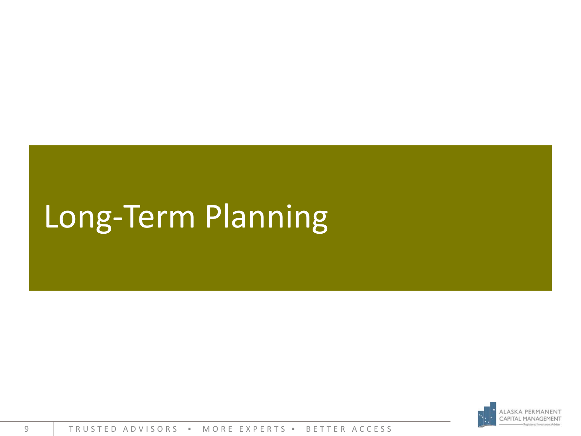# Long-Term Planning

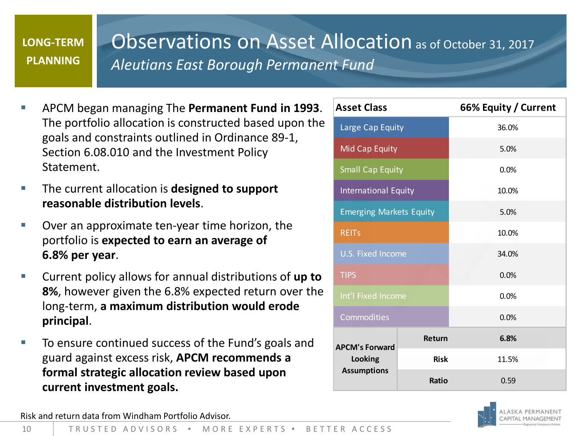#### **LONG-TERM PLANNING**

### Observations on Asset Allocation as of October 31, 2017 *Aleutians East Borough Permanent Fund*

- APCM began managing The **Permanent Fund in 1993**. The portfolio allocation is constructed based upon the goals and constraints outlined in Ordinance 89-1, Section 6.08.010 and the Investment Policy **Statement**
- The current allocation is **designed to support reasonable distribution levels**.
- Over an approximate ten-year time horizon, the portfolio is **expected to earn an average of 6.8% per year**.
- Current policy allows for annual distributions of **up to 8%**, however given the 6.8% expected return over the long-term, **a maximum distribution would erode principal**.
- To ensure continued success of the Fund's goals and guard against excess risk, **APCM recommends a formal strategic allocation review based upon current investment goals.**

| <b>Asset Class</b>             |               | 66% Equity / Current |  |  |
|--------------------------------|---------------|----------------------|--|--|
| Large Cap Equity               |               | 36.0%                |  |  |
| <b>Mid Cap Equity</b>          |               | 5.0%                 |  |  |
| <b>Small Cap Equity</b>        |               | 0.0%                 |  |  |
| <b>International Equity</b>    |               | 10.0%                |  |  |
| <b>Emerging Markets Equity</b> |               | 5.0%                 |  |  |
| <b>REITS</b>                   |               | 10.0%                |  |  |
| <b>U.S. Fixed Income</b>       |               | 34.0%                |  |  |
| <b>TIPS</b>                    |               | 0.0%                 |  |  |
| Int'l Fixed Income             |               | 0.0%                 |  |  |
| Commodities                    |               | 0.0%                 |  |  |
| <b>APCM's Forward</b>          | <b>Return</b> | 6.8%                 |  |  |
| Looking                        | <b>Risk</b>   | 11.5%                |  |  |
| <b>Assumptions</b>             | <b>Ratio</b>  | 0.59                 |  |  |



Risk and return data from Windham Portfolio Advisor.

10 TRUSTED ADVISORS ▪ MORE EXPERTS ▪ BETTER ACCESS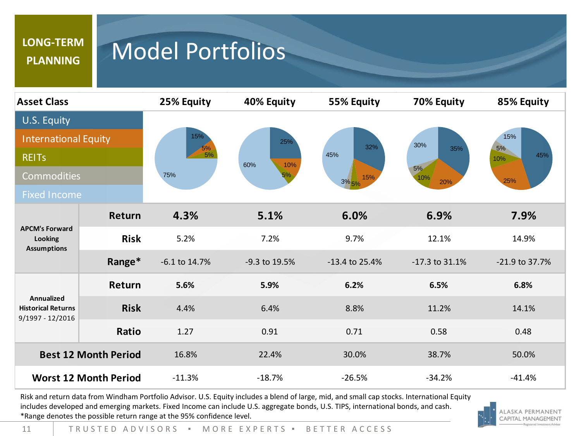#### **LONG-TERM PLANNING**

# Model Portfolios

| <b>Asset Class</b>                                                        |             | 25% Equity       | 40% Equity              | 55% Equity                    | 70% Equity                     | 85% Equity                     |
|---------------------------------------------------------------------------|-------------|------------------|-------------------------|-------------------------------|--------------------------------|--------------------------------|
| U.S. Equity<br><b>International Equity</b><br><b>REITS</b><br>Commodities |             | 15%<br>5%<br>75% | 25%<br>60%<br>10%<br>5% | 32%<br>45%<br>15%<br>$3\%$ 5% | 30%<br>35%<br>5%<br>10%<br>20% | 15%<br>5%<br>45%<br>10%<br>25% |
| <b>Fixed Income</b>                                                       |             |                  |                         |                               |                                |                                |
|                                                                           | Return      | 4.3%             | 5.1%                    | 6.0%                          | 6.9%                           | 7.9%                           |
| <b>APCM's Forward</b><br>Looking                                          | <b>Risk</b> | 5.2%             | 7.2%                    | 9.7%                          | 12.1%                          | 14.9%                          |
| <b>Assumptions</b>                                                        | Range*      | -6.1 to 14.7%    | -9.3 to 19.5%           | $-13.4$ to 25.4%              | $-17.3$ to $31.1%$             | -21.9 to 37.7%                 |
|                                                                           | Return      | 5.6%             | 5.9%                    | 6.2%                          | 6.5%                           | 6.8%                           |
| Annualized<br><b>Historical Returns</b><br>9/1997 - 12/2016               | <b>Risk</b> | 4.4%             | 6.4%                    | 8.8%                          | 11.2%                          | 14.1%                          |
|                                                                           | Ratio       | 1.27             | 0.91                    | 0.71                          | 0.58                           | 0.48                           |
| <b>Best 12 Month Period</b>                                               |             | 16.8%            | 22.4%                   | 30.0%                         | 38.7%                          | 50.0%                          |
| <b>Worst 12 Month Period</b>                                              |             | $-11.3%$         | $-18.7%$                | $-26.5%$                      | $-34.2%$                       | $-41.4%$                       |

Risk and return data from Windham Portfolio Advisor. U.S. Equity includes a blend of large, mid, and small cap stocks. International Equity includes developed and emerging markets. Fixed Income can include U.S. aggregate bonds, U.S. TIPS, international bonds, and cash. \*Range denotes the possible return range at the 95% confidence level.

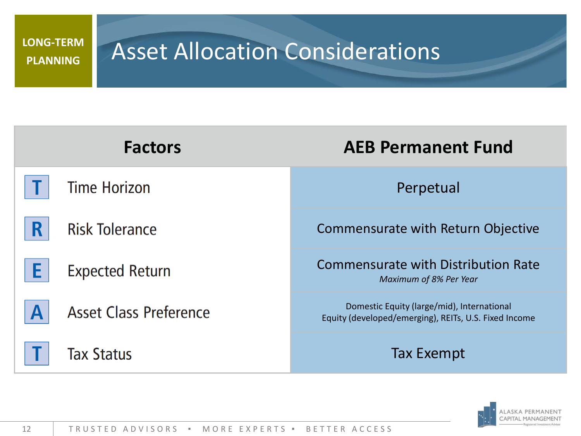#### **LONG-TERM PLANNING**

# Asset Allocation Considerations

| <b>Factors</b>                | <b>AEB Permanent Fund</b>                                                                           |
|-------------------------------|-----------------------------------------------------------------------------------------------------|
| <b>Time Horizon</b>           | Perpetual                                                                                           |
| R<br><b>Risk Tolerance</b>    | Commensurate with Return Objective                                                                  |
| F<br><b>Expected Return</b>   | <b>Commensurate with Distribution Rate</b><br>Maximum of 8% Per Year                                |
| <b>Asset Class Preference</b> | Domestic Equity (large/mid), International<br>Equity (developed/emerging), REITs, U.S. Fixed Income |
| <b>Tax Status</b>             | <b>Tax Exempt</b>                                                                                   |

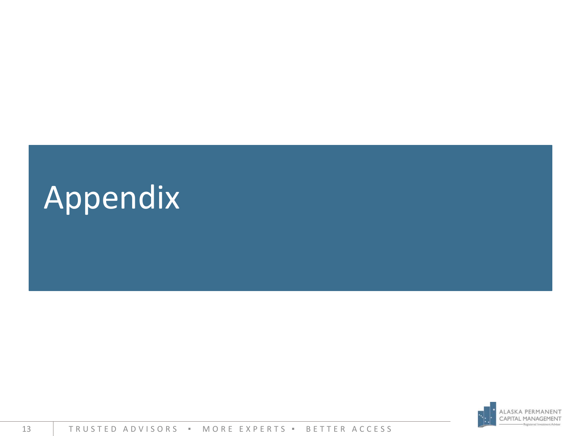

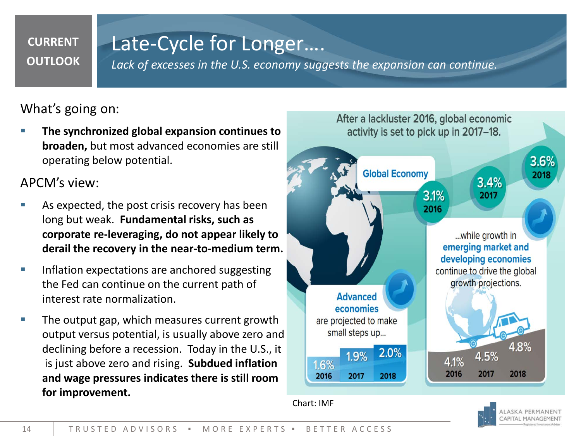#### **CURRENT OUTLOOK**

### Late-Cycle for Longer….

*Lack of excesses in the U.S. economy suggests the expansion can continue.*

What's going on:

 **The synchronized global expansion continues to broaden,** but most advanced economies are still operating below potential.

APCM's view:

- As expected, the post crisis recovery has been long but weak. **Fundamental risks, such as corporate re-leveraging, do not appear likely to derail the recovery in the near-to-medium term.**
- Inflation expectations are anchored suggesting the Fed can continue on the current path of interest rate normalization.
- The output gap, which measures current growth output versus potential, is usually above zero and declining before a recession. Today in the U.S., it is just above zero and rising. **Subdued inflation and wage pressures indicates there is still room for improvement.**



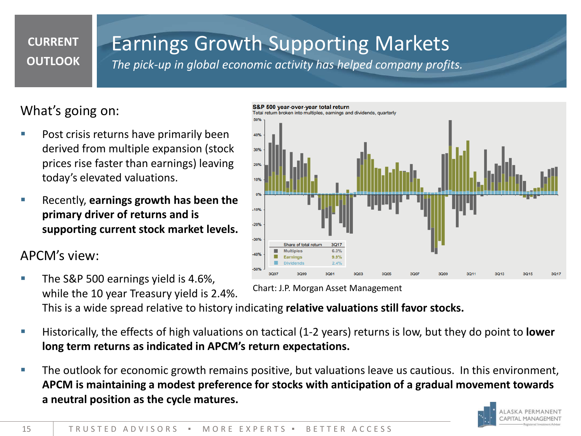#### **CURRENT OUTLOOK**

## Earnings Growth Supporting Markets

*The pick-up in global economic activity has helped company profits.*

### What's going on:

- Post crisis returns have primarily been derived from multiple expansion (stock prices rise faster than earnings) leaving today's elevated valuations.
- Recently, **earnings growth has been the primary driver of returns and is supporting current stock market levels.**

### APCM's view:

- The S&P 500 earnings yield is 4.6%, while the 10 year Treasury yield is 2.4%. This is a wide spread relative to history indicating **relative valuations still favor stocks.** Chart: J.P. Morgan Asset Management
- Historically, the effects of high valuations on tactical (1-2 years) returns is low, but they do point to **lower long term returns as indicated in APCM's return expectations.**
- The outlook for economic growth remains positive, but valuations leave us cautious. In this environment, **APCM is maintaining a modest preference for stocks with anticipation of a gradual movement towards a neutral position as the cycle matures.**



# S&P 500 year-over-year total return eturn broken into multiples, earnings and dividends, quarterly  $0%$  $-20%$  $300<sub>1</sub>$ 3Q17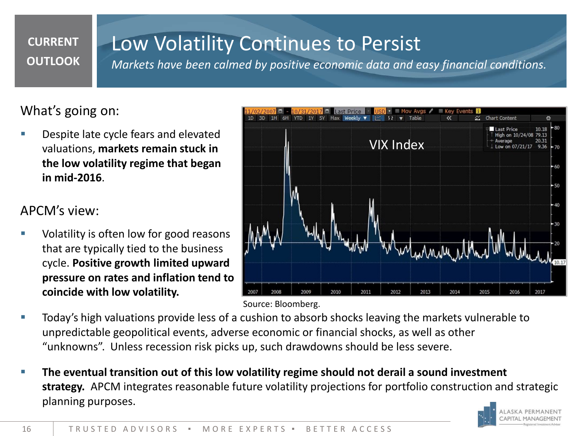#### **CURRENT OUTLOOK**

## Low Volatility Continues to Persist

*Markets have been calmed by positive economic data and easy financial conditions.*

### What's going on:

 Despite late cycle fears and elevated valuations, **markets remain stuck in the low volatility regime that began in mid-2016**.

#### APCM's view:

 Volatility is often low for good reasons that are typically tied to the business cycle. **Positive growth limited upward pressure on rates and inflation tend to coincide with low volatility.**



Source: Bloomberg.

- Today's high valuations provide less of a cushion to absorb shocks leaving the markets vulnerable to unpredictable geopolitical events, adverse economic or financial shocks, as well as other "unknowns". Unless recession risk picks up, such drawdowns should be less severe.
- **The eventual transition out of this low volatility regime should not derail a sound investment strategy.** APCM integrates reasonable future volatility projections for portfolio construction and strategic planning purposes.

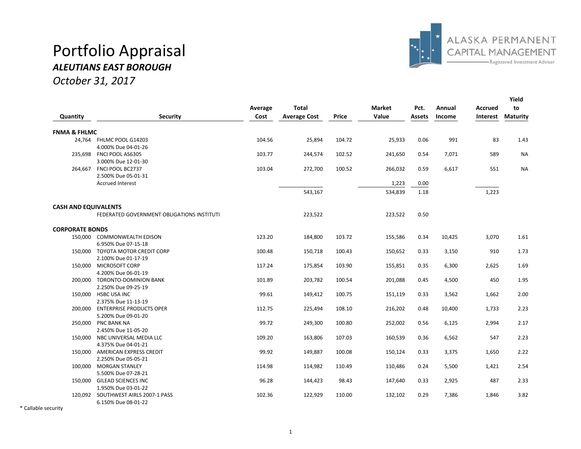# Portfolio Appraisal



#### *ALEUTIANS EAST BOROUGH*

*October 31, 2017*

|                             |                                            |         |                     |              |               |        |        |                 | Yield           |
|-----------------------------|--------------------------------------------|---------|---------------------|--------------|---------------|--------|--------|-----------------|-----------------|
|                             |                                            | Average | <b>Total</b>        |              | <b>Market</b> | Pct.   | Annual | <b>Accrued</b>  | to              |
| Quantity                    | Security                                   | Cost    | <b>Average Cost</b> | <b>Price</b> | Value         | Assets | Income | <b>Interest</b> | <b>Maturity</b> |
| <b>FNMA &amp; FHLMC</b>     |                                            |         |                     |              |               |        |        |                 |                 |
|                             | 24,764 FHLMC POOL G14203                   | 104.56  | 25,894              | 104.72       | 25,933        | 0.06   | 991    | 83              | 1.43            |
|                             | 4.000% Due 04-01-26                        |         |                     |              |               |        |        |                 |                 |
|                             | 235,698 FNCI POOL AS6305                   | 103.77  | 244,574             | 102.52       | 241,650       | 0.54   | 7,071  | 589             | <b>NA</b>       |
|                             | 3.000% Due 12-01-30                        |         |                     |              |               |        |        |                 |                 |
|                             | 264,667 FNCI POOL BC2737                   | 103.04  | 272,700             | 100.52       | 266,032       | 0.59   | 6,617  | 551             | <b>NA</b>       |
|                             | 2.500% Due 05-01-31                        |         |                     |              |               |        |        |                 |                 |
|                             | <b>Accrued Interest</b>                    |         |                     |              | 1,223         | 0.00   |        |                 |                 |
|                             |                                            |         | 543,167             |              | 534,839       | 1.18   |        | 1,223           |                 |
| <b>CASH AND EQUIVALENTS</b> |                                            |         |                     |              |               |        |        |                 |                 |
|                             | FEDERATED GOVERNMENT OBLIGATIONS INSTITUTI |         | 223,522             |              | 223,522       | 0.50   |        |                 |                 |
| <b>CORPORATE BONDS</b>      |                                            |         |                     |              |               |        |        |                 |                 |
|                             | 150,000 COMMONWEALTH EDISON                | 123.20  | 184,800             | 103.72       | 155,586       | 0.34   | 10,425 | 3,070           | 1.61            |
|                             | 6.950% Due 07-15-18                        |         |                     |              |               |        |        |                 |                 |
|                             | 150,000 TOYOTA MOTOR CREDIT CORP           | 100.48  | 150,718             | 100.43       | 150,652       | 0.33   | 3,150  | 910             | 1.73            |
|                             | 2.100% Due 01-17-19                        |         |                     |              |               |        |        |                 |                 |
|                             | 150,000 MICROSOFT CORP                     | 117.24  | 175,854             | 103.90       | 155,851       | 0.35   | 6,300  | 2,625           | 1.69            |
|                             | 4.200% Due 06-01-19                        |         |                     |              |               |        |        |                 |                 |
|                             | 200,000 TORONTO-DOMINION BANK              | 101.89  | 203,782             | 100.54       | 201,088       | 0.45   | 4,500  | 450             | 1.95            |
|                             | 2.250% Due 09-25-19                        |         |                     |              |               |        |        |                 |                 |
|                             | 150,000 HSBC USA INC                       | 99.61   | 149,412             | 100.75       | 151,119       | 0.33   | 3,562  | 1,662           | 2.00            |
|                             | 2.375% Due 11-13-19                        |         |                     |              |               |        |        |                 |                 |
|                             | 200,000 ENTERPRISE PRODUCTS OPER           | 112.75  | 225,494             | 108.10       | 216,202       | 0.48   | 10,400 | 1,733           | 2.23            |
|                             | 5.200% Due 09-01-20                        |         |                     |              |               |        |        |                 |                 |
|                             | 250,000 PNC BANK NA                        | 99.72   | 249,300             | 100.80       | 252,002       | 0.56   | 6,125  | 2,994           | 2.17            |
|                             | 2.450% Due 11-05-20                        |         |                     |              |               |        |        |                 |                 |
|                             | 150,000 NBC UNIVERSAL MEDIA LLC            | 109.20  | 163,806             | 107.03       | 160,539       | 0.36   | 6,562  | 547             | 2.23            |
|                             | 4.375% Due 04-01-21                        |         |                     |              |               |        |        |                 |                 |
|                             | 150,000 AMERICAN EXPRESS CREDIT            | 99.92   | 149,887             | 100.08       | 150,124       | 0.33   | 3,375  | 1,650           | 2.22            |
|                             | 2.250% Due 05-05-21                        |         |                     |              |               |        |        |                 |                 |
| 100,000                     | <b>MORGAN STANLEY</b>                      | 114.98  | 114,982             | 110.49       | 110,486       | 0.24   | 5,500  | 1,421           | 2.54            |
|                             | 5.500% Due 07-28-21                        |         |                     |              |               |        |        |                 |                 |
|                             | 150,000 GILEAD SCIENCES INC                | 96.28   | 144,423             | 98.43        | 147,640       | 0.33   | 2,925  | 487             | 2.33            |
|                             | 1.950% Due 03-01-22                        |         |                     |              |               |        |        |                 |                 |
|                             | 120.092 SOUTHWEST AIRLS 2007-1 PASS        | 102.36  | 122,929             | 110.00       | 132,102       | 0.29   | 7,386  | 1,846           | 3.82            |
|                             | 6.150% Due 08-01-22                        |         |                     |              |               |        |        |                 |                 |

\* Callable security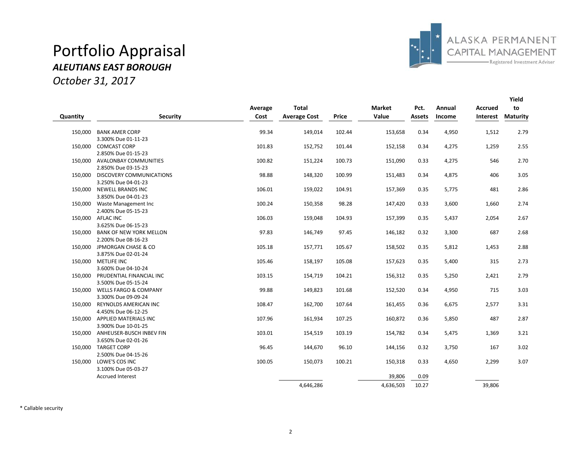### Portfolio Appraisal *ALEUTIANS EAST BOROUGH*





|          |                                  |         |                     |        |               |               |        |                | Yield           |
|----------|----------------------------------|---------|---------------------|--------|---------------|---------------|--------|----------------|-----------------|
|          |                                  | Average | <b>Total</b>        |        | <b>Market</b> | Pct.          | Annual | <b>Accrued</b> | to              |
| Quantity | <b>Security</b>                  | Cost    | <b>Average Cost</b> | Price  | Value         | <b>Assets</b> | Income | Interest       | <b>Maturity</b> |
| 150,000  | <b>BANK AMER CORP</b>            | 99.34   | 149,014             | 102.44 | 153,658       | 0.34          | 4,950  | 1,512          | 2.79            |
|          | 3.300% Due 01-11-23              |         |                     |        |               |               |        |                |                 |
|          | 150.000 COMCAST CORP             | 101.83  | 152,752             | 101.44 | 152,158       | 0.34          | 4,275  | 1,259          | 2.55            |
|          | 2.850% Due 01-15-23              |         |                     |        |               |               |        |                |                 |
|          | 150.000 AVALONBAY COMMUNITIES    | 100.82  | 151,224             | 100.73 | 151,090       | 0.33          | 4,275  | 546            | 2.70            |
|          | 2.850% Due 03-15-23              |         |                     |        |               |               |        |                |                 |
| 150.000  | <b>DISCOVERY COMMUNICATIONS</b>  | 98.88   | 148,320             | 100.99 | 151,483       | 0.34          | 4,875  | 406            | 3.05            |
|          | 3.250% Due 04-01-23              |         |                     |        |               |               |        |                |                 |
|          | 150,000 NEWELL BRANDS INC        | 106.01  | 159,022             | 104.91 | 157,369       | 0.35          | 5,775  | 481            | 2.86            |
|          | 3.850% Due 04-01-23              |         |                     |        |               |               |        |                |                 |
|          | 150,000 Waste Management Inc     | 100.24  | 150,358             | 98.28  | 147,420       | 0.33          | 3,600  | 1,660          | 2.74            |
|          | 2.400% Due 05-15-23              |         |                     |        |               |               |        |                |                 |
|          | 150,000 AFLAC INC                | 106.03  | 159,048             | 104.93 | 157,399       | 0.35          | 5,437  | 2,054          | 2.67            |
|          | 3.625% Due 06-15-23              |         |                     |        |               |               |        |                |                 |
|          | 150,000 BANK OF NEW YORK MELLON  | 97.83   | 146,749             | 97.45  | 146,182       | 0.32          | 3,300  | 687            | 2.68            |
|          | 2.200% Due 08-16-23              |         |                     |        |               |               |        |                |                 |
|          | 150,000 JPMORGAN CHASE & CO      | 105.18  | 157,771             | 105.67 | 158,502       | 0.35          | 5,812  | 1,453          | 2.88            |
|          | 3.875% Due 02-01-24              |         |                     |        |               |               |        |                |                 |
|          | 150,000 METLIFE INC              | 105.46  | 158,197             | 105.08 | 157,623       | 0.35          | 5,400  | 315            | 2.73            |
|          | 3.600% Due 04-10-24              |         |                     |        |               |               |        |                |                 |
|          | 150,000 PRUDENTIAL FINANCIAL INC | 103.15  | 154,719             | 104.21 | 156,312       | 0.35          | 5,250  | 2,421          | 2.79            |
|          | 3.500% Due 05-15-24              |         |                     |        |               |               |        |                |                 |
|          | 150.000 WELLS FARGO & COMPANY    | 99.88   | 149,823             | 101.68 | 152,520       | 0.34          | 4,950  | 715            | 3.03            |
|          | 3.300% Due 09-09-24              |         |                     |        |               |               |        |                |                 |
| 150,000  | REYNOLDS AMERICAN INC            | 108.47  | 162,700             | 107.64 | 161,455       | 0.36          | 6,675  | 2,577          | 3.31            |
|          | 4.450% Due 06-12-25              |         |                     |        |               |               |        |                |                 |
|          | 150.000 APPLIED MATERIALS INC    | 107.96  | 161,934             | 107.25 | 160,872       | 0.36          | 5,850  | 487            | 2.87            |
|          | 3.900% Due 10-01-25              |         |                     |        |               |               |        |                |                 |
|          | 150,000 ANHEUSER-BUSCH INBEV FIN | 103.01  | 154,519             | 103.19 | 154,782       | 0.34          | 5,475  | 1,369          | 3.21            |
|          | 3.650% Due 02-01-26              |         |                     |        |               |               |        |                |                 |
|          | 150,000 TARGET CORP              | 96.45   | 144,670             | 96.10  | 144,156       | 0.32          | 3,750  | 167            | 3.02            |
|          | 2.500% Due 04-15-26              |         |                     |        |               |               |        |                |                 |
|          | 150.000 LOWE'S COS INC           | 100.05  | 150,073             | 100.21 | 150,318       | 0.33          | 4,650  | 2,299          | 3.07            |
|          | 3.100% Due 05-03-27              |         |                     |        |               |               |        |                |                 |
|          | <b>Accrued Interest</b>          |         |                     |        | 39,806        | 0.09          |        |                |                 |
|          |                                  |         | 4,646,286           |        | 4,636,503     | 10.27         |        | 39,806         |                 |

\* Callable security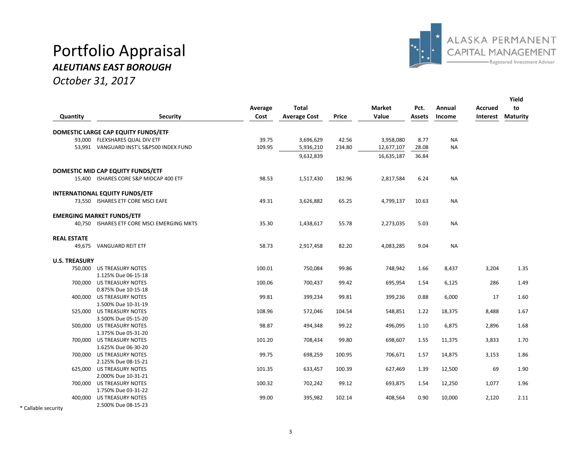## Portfolio Appraisal



#### *ALEUTIANS EAST BOROUGH*

*October 31, 2017*

|                      |                                                  | Average | <b>Total</b>        |        | <b>Market</b> | Pct.   | Annual    | <b>Accrued</b> | Yield<br>to     |
|----------------------|--------------------------------------------------|---------|---------------------|--------|---------------|--------|-----------|----------------|-----------------|
| Quantity             | <b>Security</b>                                  | Cost    | <b>Average Cost</b> | Price  | Value         | Assets | Income    | Interest       | <b>Maturity</b> |
|                      | DOMESTIC LARGE CAP EQUITY FUNDS/ETF              |         |                     |        |               |        |           |                |                 |
|                      | 93,000 FLEXSHARES QUAL DIV ETF                   | 39.75   | 3,696,629           | 42.56  | 3,958,080     | 8.77   | <b>NA</b> |                |                 |
|                      | 53,991 VANGUARD INST'L S&P500 INDEX FUND         | 109.95  | 5,936,210           | 234.80 | 12,677,107    | 28.08  | <b>NA</b> |                |                 |
|                      |                                                  |         | 9,632,839           |        | 16,635,187    | 36.84  |           |                |                 |
|                      | DOMESTIC MID CAP EQUITY FUNDS/ETF                |         |                     |        |               |        |           |                |                 |
|                      | 15,400 ISHARES CORE S&P MIDCAP 400 ETF           | 98.53   | 1,517,430           | 182.96 | 2,817,584     | 6.24   | <b>NA</b> |                |                 |
|                      | <b>INTERNATIONAL EQUITY FUNDS/ETF</b>            |         |                     |        |               |        |           |                |                 |
|                      | 73,550 ISHARES ETF CORE MSCI EAFE                | 49.31   | 3,626,882           | 65.25  | 4,799,137     | 10.63  | <b>NA</b> |                |                 |
|                      | <b>EMERGING MARKET FUNDS/ETF</b>                 |         |                     |        |               |        |           |                |                 |
|                      | 40,750 ISHARES ETF CORE MSCI EMERGING MKTS       | 35.30   | 1,438,617           | 55.78  | 2,273,035     | 5.03   | <b>NA</b> |                |                 |
| <b>REAL ESTATE</b>   |                                                  |         |                     |        |               |        |           |                |                 |
|                      | 49,675 VANGUARD REIT ETF                         | 58.73   | 2,917,458           | 82.20  | 4,083,285     | 9.04   | <b>NA</b> |                |                 |
| <b>U.S. TREASURY</b> |                                                  |         |                     |        |               |        |           |                |                 |
|                      | 750,000 US TREASURY NOTES                        | 100.01  | 750,084             | 99.86  | 748,942       | 1.66   | 8,437     | 3,204          | 1.35            |
|                      | 1.125% Due 06-15-18                              |         |                     |        |               |        |           |                |                 |
|                      | 700,000 US TREASURY NOTES                        | 100.06  | 700,437             | 99.42  | 695,954       | 1.54   | 6,125     | 286            | 1.49            |
|                      | 0.875% Due 10-15-18                              |         |                     |        |               |        |           |                |                 |
|                      | 400,000 US TREASURY NOTES                        | 99.81   | 399,234             | 99.81  | 399,236       | 0.88   | 6,000     | 17             | 1.60            |
|                      | 1.500% Due 10-31-19                              |         |                     |        |               |        |           |                |                 |
|                      | 525,000 US TREASURY NOTES                        | 108.96  | 572,046             | 104.54 | 548,851       | 1.22   | 18,375    | 8,488          | 1.67            |
|                      | 3.500% Due 05-15-20                              |         |                     |        |               |        |           |                |                 |
|                      | 500,000 US TREASURY NOTES                        | 98.87   | 494,348             | 99.22  | 496,095       | 1.10   | 6,875     | 2,896          | 1.68            |
|                      | 1.375% Due 05-31-20                              |         |                     |        |               |        |           |                |                 |
|                      | 700,000 US TREASURY NOTES                        | 101.20  | 708,434             | 99.80  | 698,607       | 1.55   | 11,375    | 3,833          | 1.70            |
|                      | 1.625% Due 06-30-20                              |         |                     |        |               |        |           |                |                 |
|                      | 700,000 US TREASURY NOTES                        | 99.75   | 698,259             | 100.95 | 706,671       | 1.57   | 14,875    | 3,153          | 1.86            |
|                      | 2.125% Due 08-15-21                              |         |                     |        |               |        |           |                |                 |
|                      | 625,000 US TREASURY NOTES<br>2.000% Due 10-31-21 | 101.35  | 633,457             | 100.39 | 627,469       | 1.39   | 12,500    | 69             | 1.90            |
|                      | 700,000 US TREASURY NOTES                        | 100.32  | 702,242             | 99.12  | 693,875       | 1.54   | 12,250    | 1,077          | 1.96            |
|                      | 1.750% Due 03-31-22                              |         |                     |        |               |        |           |                |                 |
|                      | 400,000 US TREASURY NOTES                        | 99.00   | 395,982             | 102.14 | 408,564       | 0.90   | 10,000    | 2,120          | 2.11            |
|                      | 2.500% Due 08-15-23                              |         |                     |        |               |        |           |                |                 |
| * Callable security  |                                                  |         |                     |        |               |        |           |                |                 |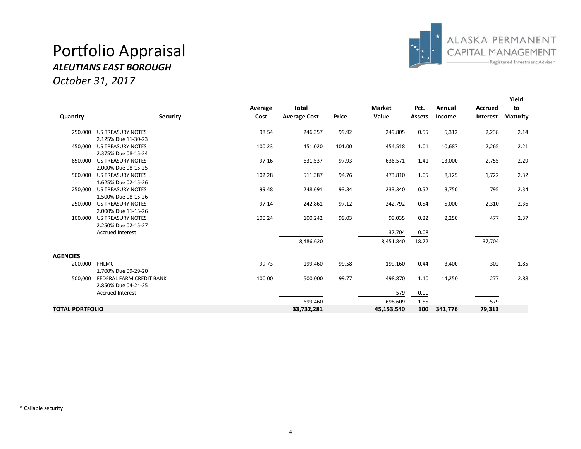### Portfolio Appraisal *ALEUTIANS EAST BOROUGH*





|                        |                          |         |                     |        |               |               |         |                 | Yield           |
|------------------------|--------------------------|---------|---------------------|--------|---------------|---------------|---------|-----------------|-----------------|
|                        |                          | Average | <b>Total</b>        |        | <b>Market</b> | Pct.          | Annual  | <b>Accrued</b>  | to              |
| Quantity               | <b>Security</b>          | Cost    | <b>Average Cost</b> | Price  | Value         | <b>Assets</b> | Income  | <b>Interest</b> | <b>Maturity</b> |
| 250,000                | <b>US TREASURY NOTES</b> | 98.54   | 246,357             | 99.92  | 249,805       | 0.55          | 5,312   | 2,238           | 2.14            |
|                        | 2.125% Due 11-30-23      |         |                     |        |               |               |         |                 |                 |
| 450,000                | <b>US TREASURY NOTES</b> | 100.23  | 451,020             | 101.00 | 454,518       | 1.01          | 10,687  | 2,265           | 2.21            |
|                        | 2.375% Due 08-15-24      |         |                     |        |               |               |         |                 |                 |
| 650,000                | <b>US TREASURY NOTES</b> | 97.16   | 631,537             | 97.93  | 636,571       | 1.41          | 13,000  | 2,755           | 2.29            |
|                        | 2.000% Due 08-15-25      |         |                     |        |               |               |         |                 |                 |
| 500,000                | <b>US TREASURY NOTES</b> | 102.28  | 511,387             | 94.76  | 473,810       | 1.05          | 8,125   | 1,722           | 2.32            |
|                        | 1.625% Due 02-15-26      |         |                     |        |               |               |         |                 |                 |
| 250,000                | <b>US TREASURY NOTES</b> | 99.48   | 248,691             | 93.34  | 233,340       | 0.52          | 3,750   | 795             | 2.34            |
|                        | 1.500% Due 08-15-26      |         |                     |        |               |               |         |                 |                 |
| 250,000                | <b>US TREASURY NOTES</b> | 97.14   | 242,861             | 97.12  | 242,792       | 0.54          | 5,000   | 2,310           | 2.36            |
|                        | 2.000% Due 11-15-26      |         |                     |        |               |               |         |                 |                 |
| 100.000                | <b>US TREASURY NOTES</b> | 100.24  | 100,242             | 99.03  | 99,035        | 0.22          | 2,250   | 477             | 2.37            |
|                        | 2.250% Due 02-15-27      |         |                     |        |               |               |         |                 |                 |
|                        | <b>Accrued Interest</b>  |         |                     |        | 37,704        | 0.08          |         |                 |                 |
|                        |                          |         | 8,486,620           |        | 8,451,840     | 18.72         |         | 37,704          |                 |
| <b>AGENCIES</b>        |                          |         |                     |        |               |               |         |                 |                 |
| 200,000                | <b>FHLMC</b>             | 99.73   | 199,460             | 99.58  | 199,160       | 0.44          | 3,400   | 302             | 1.85            |
|                        | 1.700% Due 09-29-20      |         |                     |        |               |               |         |                 |                 |
| 500.000                | FEDERAL FARM CREDIT BANK | 100.00  | 500,000             | 99.77  | 498,870       | 1.10          | 14,250  | 277             | 2.88            |
|                        | 2.850% Due 04-24-25      |         |                     |        |               |               |         |                 |                 |
|                        | <b>Accrued Interest</b>  |         |                     |        | 579           | 0.00          |         |                 |                 |
|                        |                          |         | 699,460             |        | 698,609       | 1.55          |         | 579             |                 |
| <b>TOTAL PORTFOLIO</b> |                          |         | 33,732,281          |        | 45,153,540    | 100           | 341,776 | 79,313          |                 |

\* Callable security